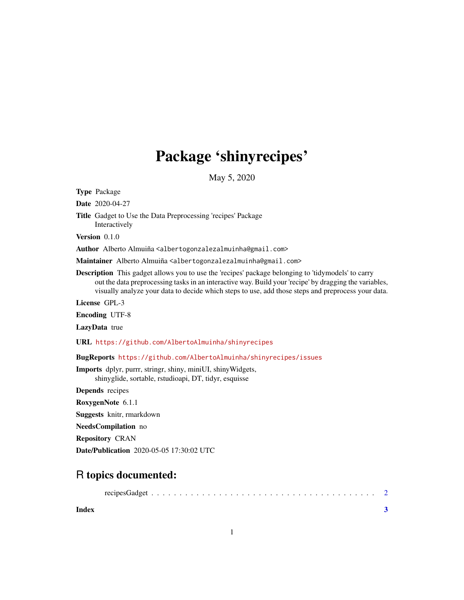## Package 'shinyrecipes'

May 5, 2020

Type Package

Date 2020-04-27

Title Gadget to Use the Data Preprocessing 'recipes' Package Interactively

Version 0.1.0

Author Alberto Almuiña <albertogonzalezalmuinha@gmail.com>

Maintainer Alberto Almuiña <albertogonzalezalmuinha@gmail.com>

Description This gadget allows you to use the 'recipes' package belonging to 'tidymodels' to carry out the data preprocessing tasks in an interactive way. Build your 'recipe' by dragging the variables, visually analyze your data to decide which steps to use, add those steps and preprocess your data.

License GPL-3

Encoding UTF-8

LazyData true

URL <https://github.com/AlbertoAlmuinha/shinyrecipes>

BugReports <https://github.com/AlbertoAlmuinha/shinyrecipes/issues>

Imports dplyr, purrr, stringr, shiny, miniUI, shinyWidgets, shinyglide, sortable, rstudioapi, DT, tidyr, esquisse

Depends recipes

RoxygenNote 6.1.1

Suggests knitr, rmarkdown

NeedsCompilation no

Repository CRAN

Date/Publication 2020-05-05 17:30:02 UTC

### R topics documented:

| Index |  |
|-------|--|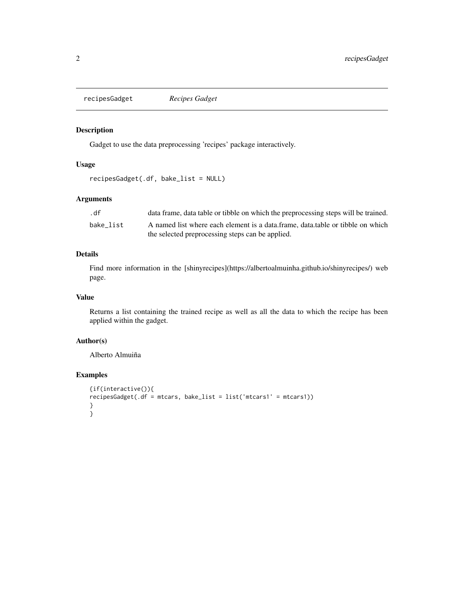<span id="page-1-0"></span>recipesGadget *Recipes Gadget*

#### Description

Gadget to use the data preprocessing 'recipes' package interactively.

#### Usage

```
recipesGadget(.df, bake_list = NULL)
```
#### Arguments

| .df       | data frame, data table or tibble on which the preprocessing steps will be trained. |
|-----------|------------------------------------------------------------------------------------|
| bake list | A named list where each element is a data frame, data table or tibble on which     |
|           | the selected preprocessing steps can be applied.                                   |

#### Details

Find more information in the [shinyrecipes](https://albertoalmuinha.github.io/shinyrecipes/) web page.

#### Value

Returns a list containing the trained recipe as well as all the data to which the recipe has been applied within the gadget.

#### Author(s)

Alberto Almuiña

#### Examples

```
{if(interactive()){
recipesGadget(.df = mtcars, bake_list = list('mtcars1' = mtcars1))
}
}
```